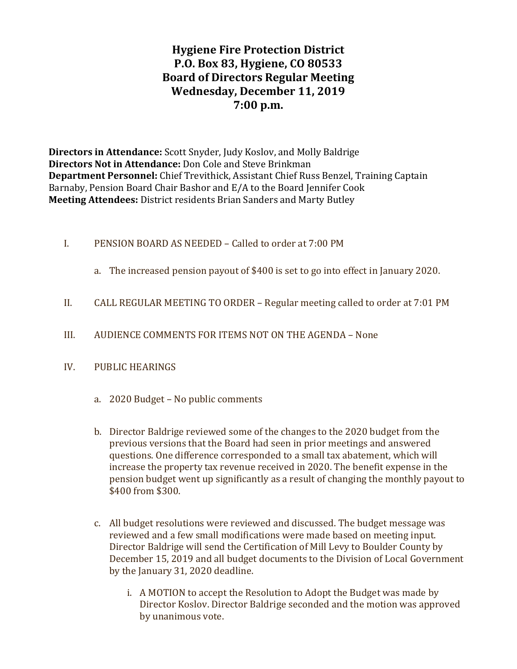# Hygiene Fire Protection District P.O. Box 83, Hygiene, CO 80533 Board of Directors Regular Meeting Wednesday, December 11, 2019 7:00 p.m.

Directors in Attendance: Scott Snyder, Judy Koslov, and Molly Baldrige Directors Not in Attendance: Don Cole and Steve Brinkman Department Personnel: Chief Trevithick, Assistant Chief Russ Benzel, Training Captain Barnaby, Pension Board Chair Bashor and E/A to the Board Jennifer Cook Meeting Attendees: District residents Brian Sanders and Marty Butley

- I. PENSION BOARD AS NEEDED Called to order at 7:00 PM
	- a. The increased pension payout of \$400 is set to go into effect in January 2020.
- II. CALL REGULAR MEETING TO ORDER Regular meeting called to order at 7:01 PM
- III. AUDIENCE COMMENTS FOR ITEMS NOT ON THE AGENDA None
- IV. PUBLIC HEARINGS
	- a. 2020 Budget No public comments
	- b. Director Baldrige reviewed some of the changes to the 2020 budget from the previous versions that the Board had seen in prior meetings and answered questions. One difference corresponded to a small tax abatement, which will increase the property tax revenue received in 2020. The benefit expense in the pension budget went up significantly as a result of changing the monthly payout to \$400 from \$300.
	- c. All budget resolutions were reviewed and discussed. The budget message was reviewed and a few small modifications were made based on meeting input. Director Baldrige will send the Certification of Mill Levy to Boulder County by December 15, 2019 and all budget documents to the Division of Local Government by the January 31, 2020 deadline.
		- i. A MOTION to accept the Resolution to Adopt the Budget was made by Director Koslov. Director Baldrige seconded and the motion was approved by unanimous vote.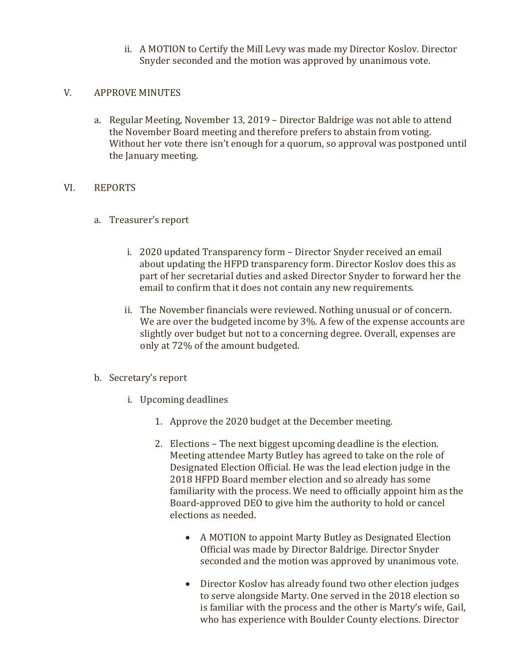ii. A MOTION to Certify the Mill Levy was made my Director Koslov. Director Snyder seconded and the motion was approved by unanimous vote.

# V. APPROVE MINUTES

a. Regular Meeting, November 13, 2019 – Director Baldrige was not able to attend the November Board meeting and therefore prefers to abstain from voting. Without her vote there isn't enough for a quorum, so approval was postponed until the January meeting.

## VI. REPORTS

- a. Treasurer's report
	- i. 2020 updated Transparency form Director Snyder received an email about updating the HFPD transparency form. Director Koslov does this as part of her secretarial duties and asked Director Snyder to forward her the email to confirm that it does not contain any new requirements.
	- ii. The November financials were reviewed. Nothing unusual or of concern. We are over the budgeted income by 3%. A few of the expense accounts are slightly over budget but not to a concerning degree. Overall, expenses are only at 72% of the amount budgeted.

# b. Secretary's report

- i. Upcoming deadlines
	- 1. Approve the 2020 budget at the December meeting.
	- 2. Elections The next biggest upcoming deadline is the election. Meeting attendee Marty Butley has agreed to take on the role of Designated Election Official. He was the lead election judge in the 2018 HFPD Board member election and so already has some familiarity with the process. We need to officially appoint him as the Board-approved DEO to give him the authority to hold or cancel elections as needed.
		- A MOTION to appoint Marty Butley as Designated Election Official was made by Director Baldrige. Director Snyder seconded and the motion was approved by unanimous vote.
		- Director Koslov has already found two other election judges to serve alongside Marty. One served in the 2018 election so is familiar with the process and the other is Marty's wife, Gail, who has experience with Boulder County elections. Director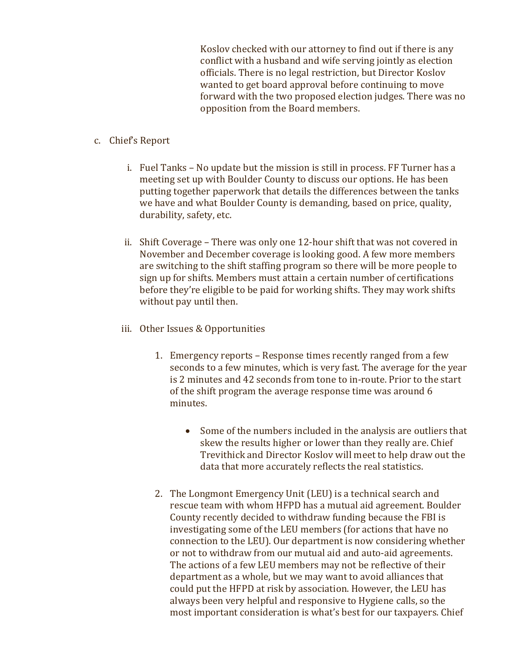Koslov checked with our attorney to find out if there is any conflict with a husband and wife serving jointly as election officials. There is no legal restriction, but Director Koslov wanted to get board approval before continuing to move forward with the two proposed election judges. There was no opposition from the Board members.

#### c. Chief's Report

- i. Fuel Tanks No update but the mission is still in process. FF Turner has a meeting set up with Boulder County to discuss our options. He has been putting together paperwork that details the differences between the tanks we have and what Boulder County is demanding, based on price, quality, durability, safety, etc.
- ii. Shift Coverage There was only one 12-hour shift that was not covered in November and December coverage is looking good. A few more members are switching to the shift staffing program so there will be more people to sign up for shifts. Members must attain a certain number of certifications before they're eligible to be paid for working shifts. They may work shifts without pay until then.
- iii. Other Issues & Opportunities
	- 1. Emergency reports Response times recently ranged from a few seconds to a few minutes, which is very fast. The average for the year is 2 minutes and 42 seconds from tone to in-route. Prior to the start of the shift program the average response time was around 6 minutes.
		- Some of the numbers included in the analysis are outliers that skew the results higher or lower than they really are. Chief Trevithick and Director Koslov will meet to help draw out the data that more accurately reflects the real statistics.
	- 2. The Longmont Emergency Unit (LEU) is a technical search and rescue team with whom HFPD has a mutual aid agreement. Boulder County recently decided to withdraw funding because the FBI is investigating some of the LEU members (for actions that have no connection to the LEU). Our department is now considering whether or not to withdraw from our mutual aid and auto-aid agreements. The actions of a few LEU members may not be reflective of their department as a whole, but we may want to avoid alliances that could put the HFPD at risk by association. However, the LEU has always been very helpful and responsive to Hygiene calls, so the most important consideration is what's best for our taxpayers. Chief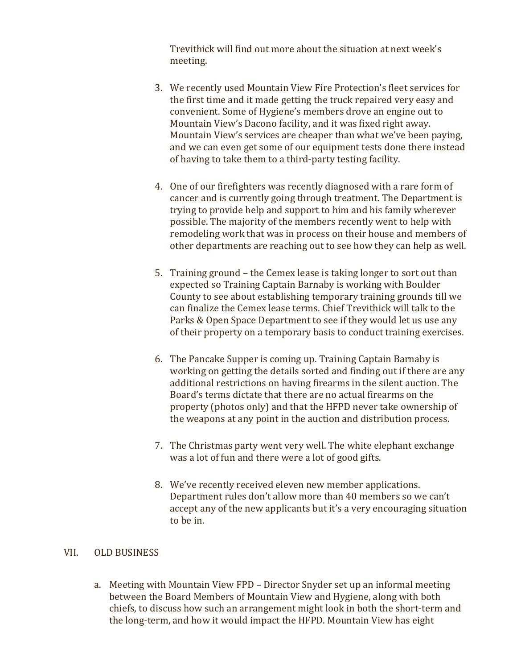Trevithick will find out more about the situation at next week's meeting.

- 3. We recently used Mountain View Fire Protection's fleet services for the first time and it made getting the truck repaired very easy and convenient. Some of Hygiene's members drove an engine out to Mountain View's Dacono facility, and it was fixed right away. Mountain View's services are cheaper than what we've been paying, and we can even get some of our equipment tests done there instead of having to take them to a third-party testing facility.
- 4. One of our firefighters was recently diagnosed with a rare form of cancer and is currently going through treatment. The Department is trying to provide help and support to him and his family wherever possible. The majority of the members recently went to help with remodeling work that was in process on their house and members of other departments are reaching out to see how they can help as well.
- 5. Training ground the Cemex lease is taking longer to sort out than expected so Training Captain Barnaby is working with Boulder County to see about establishing temporary training grounds till we can finalize the Cemex lease terms. Chief Trevithick will talk to the Parks & Open Space Department to see if they would let us use any of their property on a temporary basis to conduct training exercises.
- 6. The Pancake Supper is coming up. Training Captain Barnaby is working on getting the details sorted and finding out if there are any additional restrictions on having firearms in the silent auction. The Board's terms dictate that there are no actual firearms on the property (photos only) and that the HFPD never take ownership of the weapons at any point in the auction and distribution process.
- 7. The Christmas party went very well. The white elephant exchange was a lot of fun and there were a lot of good gifts.
- 8. We've recently received eleven new member applications. Department rules don't allow more than 40 members so we can't accept any of the new applicants but it's a very encouraging situation to be in.

#### VII. OLD BUSINESS

a. Meeting with Mountain View FPD – Director Snyder set up an informal meeting between the Board Members of Mountain View and Hygiene, along with both chiefs, to discuss how such an arrangement might look in both the short-term and the long-term, and how it would impact the HFPD. Mountain View has eight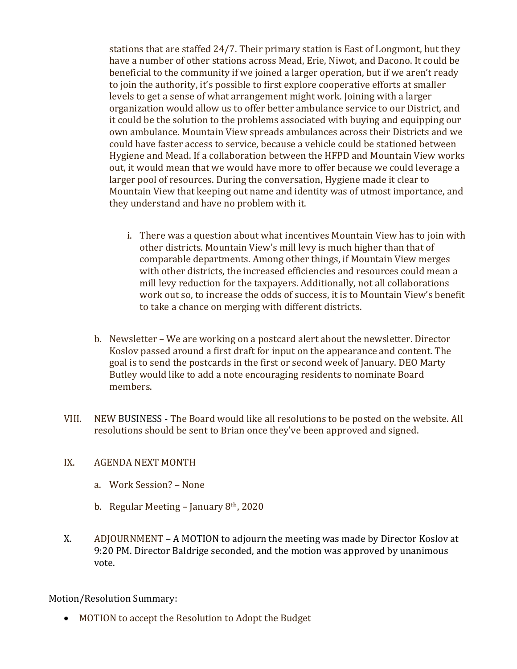stations that are staffed 24/7. Their primary station is East of Longmont, but they have a number of other stations across Mead, Erie, Niwot, and Dacono. It could be beneficial to the community if we joined a larger operation, but if we aren't ready to join the authority, it's possible to first explore cooperative efforts at smaller levels to get a sense of what arrangement might work. Joining with a larger organization would allow us to offer better ambulance service to our District, and it could be the solution to the problems associated with buying and equipping our own ambulance. Mountain View spreads ambulances across their Districts and we could have faster access to service, because a vehicle could be stationed between Hygiene and Mead. If a collaboration between the HFPD and Mountain View works out, it would mean that we would have more to offer because we could leverage a larger pool of resources. During the conversation, Hygiene made it clear to Mountain View that keeping out name and identity was of utmost importance, and they understand and have no problem with it.

- i. There was a question about what incentives Mountain View has to join with other districts. Mountain View's mill levy is much higher than that of comparable departments. Among other things, if Mountain View merges with other districts, the increased efficiencies and resources could mean a mill levy reduction for the taxpayers. Additionally, not all collaborations work out so, to increase the odds of success, it is to Mountain View's benefit to take a chance on merging with different districts.
- b. Newsletter We are working on a postcard alert about the newsletter. Director Koslov passed around a first draft for input on the appearance and content. The goal is to send the postcards in the first or second week of January. DEO Marty Butley would like to add a note encouraging residents to nominate Board members.
- VIII. NEW BUSINESS The Board would like all resolutions to be posted on the website. All resolutions should be sent to Brian once they've been approved and signed.

# IX. AGENDA NEXT MONTH

- a. Work Session? None
- b. Regular Meeting January 8<sup>th</sup>, 2020
- X. ADJOURNMENT A MOTION to adjourn the meeting was made by Director Koslov at 9:20 PM. Director Baldrige seconded, and the motion was approved by unanimous vote.

# Motion/Resolution Summary:

MOTION to accept the Resolution to Adopt the Budget